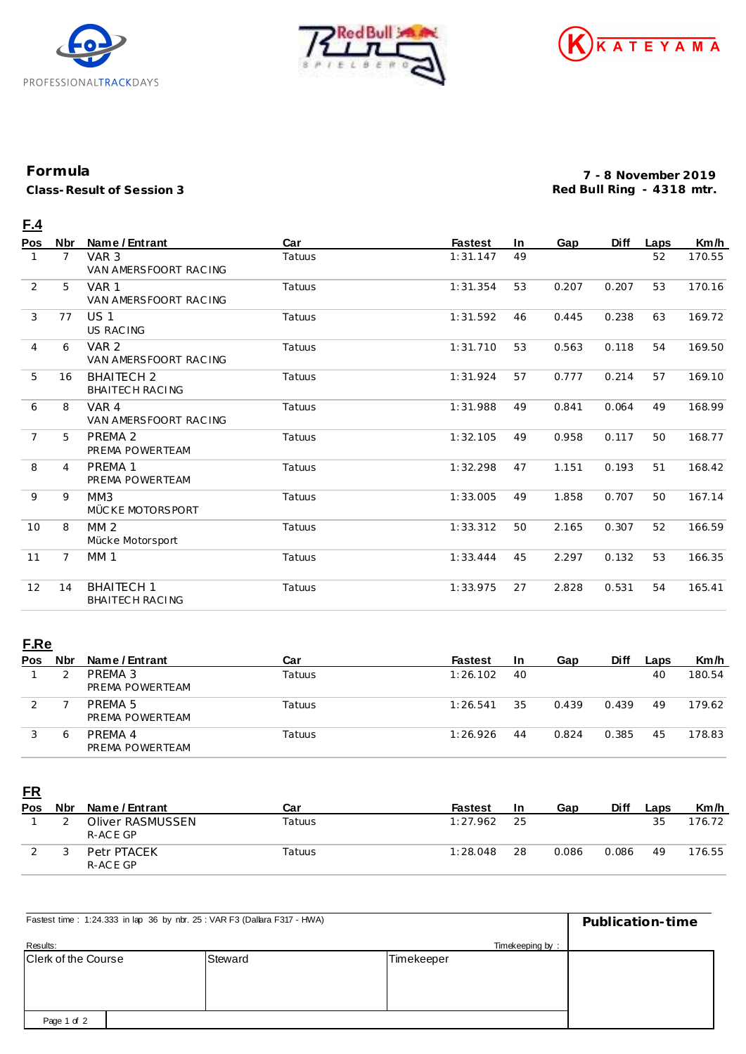





## **Formula**

**Class-Result of Session 3**

**7 - 8 November 2019 Red Bull Ring - 4318 mtr.**

## **F.4**

| Pos            | <b>Nbr</b>     | Name / Entrant                            | Car    | <b>Fastest</b> | <b>In</b> | Gap   | Diff  | Laps | Km/h   |
|----------------|----------------|-------------------------------------------|--------|----------------|-----------|-------|-------|------|--------|
| 1              | $\overline{7}$ | VAR <sub>3</sub><br>VAN AMERSFOORT RACING | Tatuus | 1:31.147       | 49        |       |       | 52   | 170.55 |
| 2              | 5              | VAR <sub>1</sub><br>VAN AMERSFOORT RACING | Tatuus | 1:31.354       | 53        | 0.207 | 0.207 | 53   | 170.16 |
| 3              | 77             | <b>US1</b><br>US RAC ING                  | Tatuus | 1:31.592       | 46        | 0.445 | 0.238 | 63   | 169.72 |
| $\overline{4}$ | 6              | VAR <sub>2</sub><br>VAN AMERSFOORT RACING | Tatuus | 1:31.710       | 53        | 0.563 | 0.118 | 54   | 169.50 |
| 5              | 16             | <b>BHAITECH 2</b><br>BHAITECH RACING      | Tatuus | 1:31.924       | 57        | 0.777 | 0.214 | 57   | 169.10 |
| 6              | 8              | VAR 4<br>VAN AMERSFOORT RAC ING           | Tatuus | 1:31.988       | 49        | 0.841 | 0.064 | 49   | 168.99 |
| $\overline{7}$ | 5              | PREMA <sub>2</sub><br>PREMA POWERTEAM     | Tatuus | 1:32.105       | 49        | 0.958 | 0.117 | 50   | 168.77 |
| 8              | 4              | PREMA <sub>1</sub><br>PREMA POWERTEAM     | Tatuus | 1:32.298       | 47        | 1.151 | 0.193 | 51   | 168.42 |
| 9              | 9              | MM3<br>MÜCKE MOTORSPORT                   | Tatuus | 1:33.005       | 49        | 1.858 | 0.707 | 50   | 167.14 |
| 10             | 8              | MM <sub>2</sub><br>Mücke Motorsport       | Tatuus | 1:33.312       | 50        | 2.165 | 0.307 | 52   | 166.59 |
| 11             | $\overline{7}$ | <b>MM1</b>                                | Tatuus | 1:33.444       | 45        | 2.297 | 0.132 | 53   | 166.35 |
| 12             | 14             | <b>BHAITECH 1</b><br>BHAITECH RACING      | Tatuus | 1:33.975       | 27        | 2.828 | 0.531 | 54   | 165.41 |

## **F.Re**

| <b>Pos</b> | <b>Nbr</b> | Name / Entrant             | Car           | <b>Fastest</b> | <b>In</b> | Gap   | <b>Diff</b> | Laps | Km/h   |
|------------|------------|----------------------------|---------------|----------------|-----------|-------|-------------|------|--------|
|            |            | PREMA 3<br>PREMA POWERTEAM | Tatuus        | 1:26.102       | 40        |       |             | 40   | 180.54 |
|            |            | PRFMA 5<br>PREMA POWERTEAM | Tatuus        | 1:26.541       | 35        | 0.439 | 0.439       | 49   | 179.62 |
|            | Ô          | PRFMA 4<br>PREMA POWERTEAM | <b>Tatuus</b> | 1:26.926       | 44        | 0.824 | 0.385       | 45   | 178.83 |

**FR**

| Pos | Nbr | Name / Entrant               | Car    | <b>Fastest</b> | -In | Gap   | Diff  | Laps | Km/h   |
|-----|-----|------------------------------|--------|----------------|-----|-------|-------|------|--------|
|     |     | Oliver RASMUSSEN<br>R-ACE GP | Tatuus | 1:27.962       | -25 |       |       | 35   | 176.72 |
|     |     | Petr PTACEK<br>R-ACE GP      | Tatuus | 1:28.048       | 28  | 0.086 | 0.086 | 49   | 176.55 |

| Fastest time: 1:24.333 in lap 36 by nbr. 25: VAR F3 (Dallara F317 - HWA) | Publication-time |            |  |
|--------------------------------------------------------------------------|------------------|------------|--|
| Results:                                                                 | Timekeeping by:  |            |  |
| Clerk of the Course                                                      | Steward          | Timekeeper |  |
|                                                                          |                  |            |  |
|                                                                          |                  |            |  |
|                                                                          |                  |            |  |
| Page 1 of 2                                                              |                  |            |  |